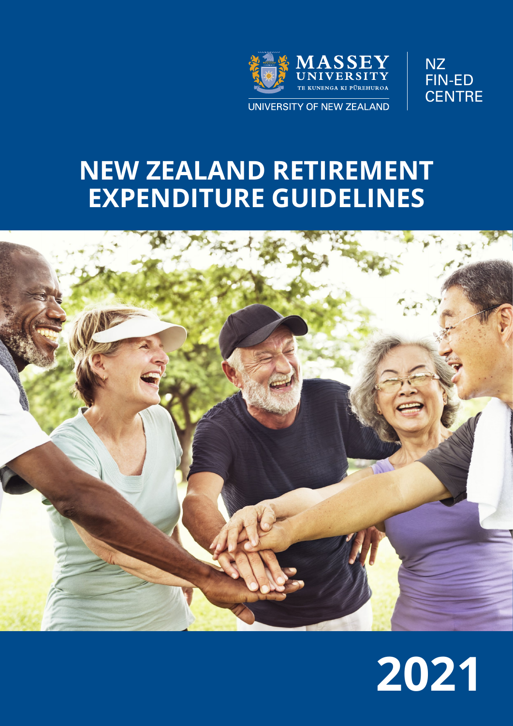



# **NEW ZEALAND RETIREMENT EXPENDITURE GUIDELINES**



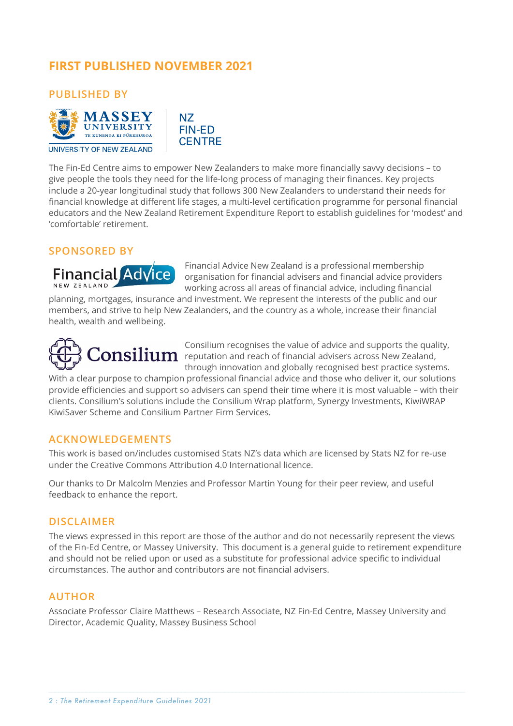# **FIRST PUBLISHED NOVEMBER 2021**

**PUBLISHED BY**



NZ FIN-ED **CENTRE** 

The Fin-Ed Centre aims to empower New Zealanders to make more financially savvy decisions – to give people the tools they need for the life-long process of managing their finances. Key projects include a 20-year longitudinal study that follows 300 New Zealanders to understand their needs for financial knowledge at different life stages, a multi-level certification programme for personal financial educators and the New Zealand Retirement Expenditure Report to establish guidelines for 'modest' and 'comfortable' retirement.

### **SPONSORED BY**

**Financial Advice** NEW ZEALAND

Financial Advice New Zealand is a professional membership organisation for financial advisers and financial advice providers working across all areas of financial advice, including financial

planning, mortgages, insurance and investment. We represent the interests of the public and our members, and strive to help New Zealanders, and the country as a whole, increase their financial health, wealth and wellbeing.



Consilium recognises the value of advice and supports the quality,  $\text{Consilium}$  reputation and reach of financial advisers across New Zealand, through innovation and globally recognised best practice systems.

With a clear purpose to champion professional financial advice and those who deliver it, our solutions provide efficiencies and support so advisers can spend their time where it is most valuable – with their clients. Consilium's solutions include the Consilium Wrap platform, Synergy Investments, KiwiWRAP KiwiSaver Scheme and Consilium Partner Firm Services.

#### **ACKNOWLEDGEMENTS**

This work is based on/includes customised Stats NZ's data which are licensed by Stats NZ for re-use under the Creative Commons Attribution 4.0 International licence.

Our thanks to Dr Malcolm Menzies and Professor Martin Young for their peer review, and useful feedback to enhance the report.

#### **DISCLAIMER**

The views expressed in this report are those of the author and do not necessarily represent the views of the Fin-Ed Centre, or Massey University. This document is a general guide to retirement expenditure and should not be relied upon or used as a substitute for professional advice specific to individual circumstances. The author and contributors are not financial advisers.

#### **AUTHOR**

Associate Professor Claire Matthews – Research Associate, NZ Fin-Ed Centre, Massey University and Director, Academic Quality, Massey Business School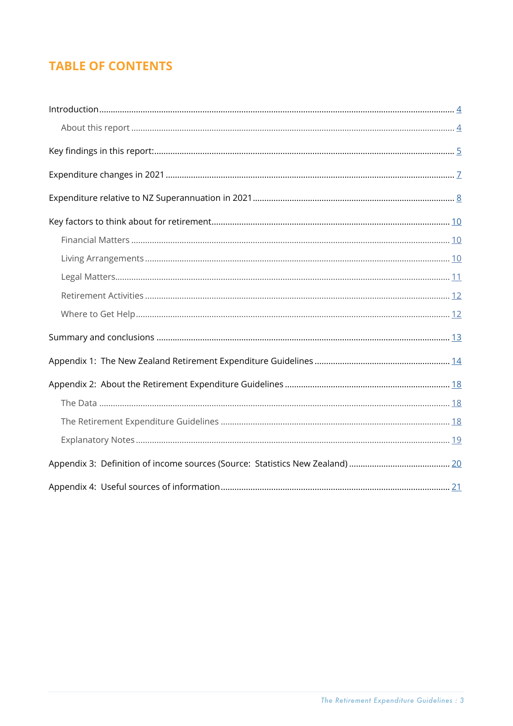# **TABLE OF CONTENTS**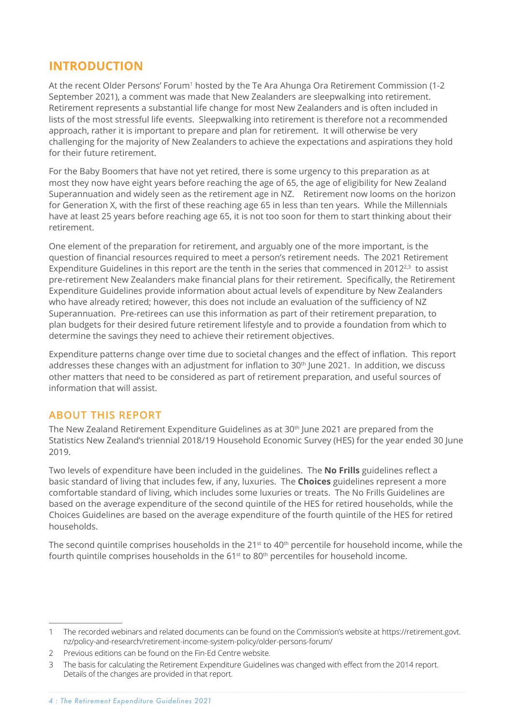# <span id="page-3-0"></span>**INTRODUCTION**

At the recent Older Persons' Forum<sup>1</sup> hosted by the Te Ara Ahunga Ora Retirement Commission (1-2 September 2021), a comment was made that New Zealanders are sleepwalking into retirement. Retirement represents a substantial life change for most New Zealanders and is often included in lists of the most stressful life events. Sleepwalking into retirement is therefore not a recommended approach, rather it is important to prepare and plan for retirement. It will otherwise be very challenging for the majority of New Zealanders to achieve the expectations and aspirations they hold for their future retirement.

For the Baby Boomers that have not yet retired, there is some urgency to this preparation as at most they now have eight years before reaching the age of 65, the age of eligibility for New Zealand Superannuation and widely seen as the retirement age in NZ. Retirement now looms on the horizon for Generation X, with the first of these reaching age 65 in less than ten years. While the Millennials have at least 25 years before reaching age 65, it is not too soon for them to start thinking about their retirement.

One element of the preparation for retirement, and arguably one of the more important, is the question of financial resources required to meet a person's retirement needs. The 2021 Retirement Expenditure Guidelines in this report are the tenth in the series that commenced in 2012 $^{2,3}$  to assist pre-retirement New Zealanders make financial plans for their retirement. Specifically, the Retirement Expenditure Guidelines provide information about actual levels of expenditure by New Zealanders who have already retired; however, this does not include an evaluation of the sufficiency of NZ Superannuation. Pre-retirees can use this information as part of their retirement preparation, to plan budgets for their desired future retirement lifestyle and to provide a foundation from which to determine the savings they need to achieve their retirement objectives.

Expenditure patterns change over time due to societal changes and the effect of inflation. This report addresses these changes with an adjustment for inflation to 30<sup>th</sup> June 2021. In addition, we discuss other matters that need to be considered as part of retirement preparation, and useful sources of information that will assist.

### **ABOUT THIS REPORT**

The New Zealand Retirement Expenditure Guidelines as at 30<sup>th</sup> June 2021 are prepared from the Statistics New Zealand's triennial 2018/19 Household Economic Survey (HES) for the year ended 30 June 2019.

Two levels of expenditure have been included in the guidelines. The **No Frills** guidelines reflect a basic standard of living that includes few, if any, luxuries. The **Choices** guidelines represent a more comfortable standard of living, which includes some luxuries or treats. The No Frills Guidelines are based on the average expenditure of the second quintile of the HES for retired households, while the Choices Guidelines are based on the average expenditure of the fourth quintile of the HES for retired households.

The second quintile comprises households in the  $21^{st}$  to  $40^{th}$  percentile for household income, while the fourth quintile comprises households in the  $61<sup>st</sup>$  to  $80<sup>th</sup>$  percentiles for household income.

<sup>1</sup> The recorded webinars and related documents can be found on the Commission's website at https://retirement.govt. nz/policy-and-research/retirement-income-system-policy/older-persons-forum/

<sup>2</sup> Previous editions can be found on the Fin-Ed Centre website.

<sup>3</sup> The basis for calculating the Retirement Expenditure Guidelines was changed with effect from the 2014 report. Details of the changes are provided in that report.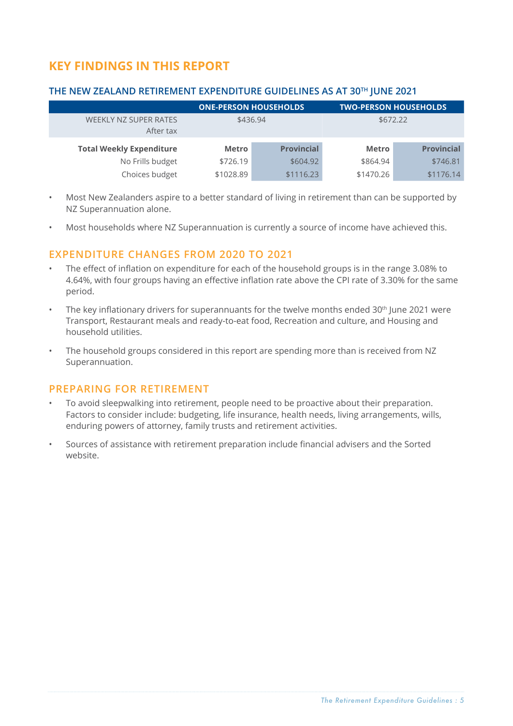# <span id="page-4-0"></span>**KEY FINDINGS IN THIS REPORT**

#### **THE NEW ZEALAND RETIREMENT EXPENDITURE GUIDELINES AS AT 30TH JUNE 2021**

|                                    | <b>ONE-PERSON HOUSEHOLDS</b> |                   | <b>TWO-PERSON HOUSEHOLDS</b> |                   |
|------------------------------------|------------------------------|-------------------|------------------------------|-------------------|
| WEEKLY NZ SUPER RATES<br>After tax | \$436.94                     |                   | \$672.22                     |                   |
| <b>Total Weekly Expenditure</b>    | <b>Metro</b>                 | <b>Provincial</b> | <b>Metro</b>                 | <b>Provincial</b> |
|                                    |                              |                   |                              |                   |
| No Frills budget                   | \$726.19                     | \$604.92          | \$864.94                     | \$746.81          |
| Choices budget                     | \$1028.89                    | \$1116.23         | \$1470.26                    | \$1176.14         |

- Most New Zealanders aspire to a better standard of living in retirement than can be supported by NZ Superannuation alone.
- Most households where NZ Superannuation is currently a source of income have achieved this.

### **EXPENDITURE CHANGES FROM 2020 TO 2021**

- The effect of inflation on expenditure for each of the household groups is in the range 3.08% to 4.64%, with four groups having an effective inflation rate above the CPI rate of 3.30% for the same period.
- The key inflationary drivers for superannuants for the twelve months ended 30<sup>th</sup> June 2021 were Transport, Restaurant meals and ready-to-eat food, Recreation and culture, and Housing and household utilities.
- The household groups considered in this report are spending more than is received from NZ Superannuation.

#### **PREPARING FOR RETIREMENT**

- To avoid sleepwalking into retirement, people need to be proactive about their preparation. Factors to consider include: budgeting, life insurance, health needs, living arrangements, wills, enduring powers of attorney, family trusts and retirement activities.
- Sources of assistance with retirement preparation include financial advisers and the Sorted website.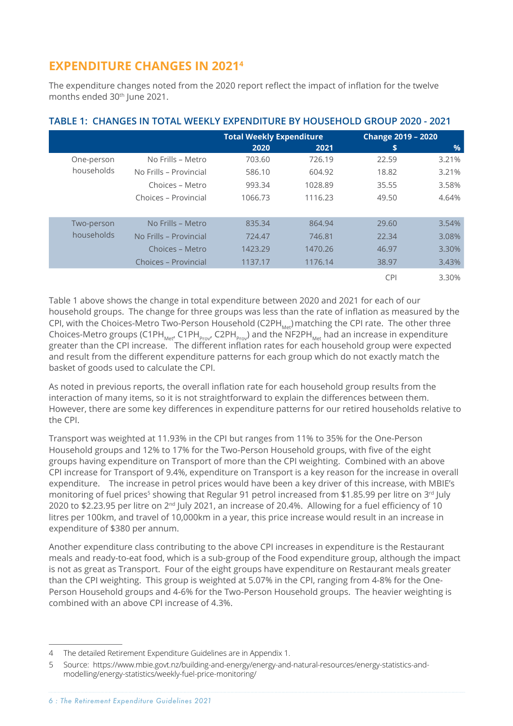# <span id="page-5-0"></span>**EXPENDITURE CHANGES IN 20214**

The expenditure changes noted from the 2020 report reflect the impact of inflation for the twelve months ended 30<sup>th</sup> June 2021.

|            |                        | <b>Total Weekly Expenditure</b> |         | <b>Change 2019 - 2020</b> |               |
|------------|------------------------|---------------------------------|---------|---------------------------|---------------|
|            |                        | 2020                            | 2021    | s                         | $\frac{9}{6}$ |
| One-person | No Frills - Metro      | 703.60                          | 726.19  | 22.59                     | 3.21%         |
| households | No Frills – Provincial | 586.10                          | 604.92  | 18.82                     | 3.21%         |
|            | Choices - Metro        | 993.34                          | 1028.89 | 35.55                     | 3.58%         |
|            | Choices - Provincial   | 1066.73                         | 1116.23 | 49.50                     | 4.64%         |
|            |                        |                                 |         |                           |               |
| Two-person | No Frills - Metro      | 835.34                          | 864.94  | 29.60                     | 3.54%         |
| households | No Frills - Provincial | 724.47                          | 746.81  | 22.34                     | 3.08%         |
|            | Choices - Metro        | 1423.29                         | 1470.26 | 46.97                     | 3.30%         |
|            | Choices – Provincial   | 1137.17                         | 1176.14 | 38.97                     | 3.43%         |
|            |                        |                                 |         | <b>CPI</b>                | 3.30%         |

### <span id="page-5-1"></span>**TABLE 1: CHANGES IN TOTAL WEEKLY EXPENDITURE BY HOUSEHOLD GROUP 2020 - 2021**

[Table 1](#page-5-1) above shows the change in total expenditure between 2020 and 2021 for each of our household groups. The change for three groups was less than the rate of inflation as measured by the CPI, with the Choices-Metro Two-Person Household (C2PH<sub>Met</sub>) matching the CPI rate. The other three Choices-Metro groups (C1PH<sub>Met</sub>, C1PH<sub>prov</sub>, C2PH<sub>prov</sub>) and the NF2PH<sub>Met</sub> had an increase in expenditure greater than the CPI increase. The different inflation rates for each household group were expected and result from the different expenditure patterns for each group which do not exactly match the basket of goods used to calculate the CPI.

As noted in previous reports, the overall inflation rate for each household group results from the interaction of many items, so it is not straightforward to explain the differences between them. However, there are some key differences in expenditure patterns for our retired households relative to the CPI.

Transport was weighted at 11.93% in the CPI but ranges from 11% to 35% for the One-Person Household groups and 12% to 17% for the Two-Person Household groups, with five of the eight groups having expenditure on Transport of more than the CPI weighting. Combined with an above CPI increase for Transport of 9.4%, expenditure on Transport is a key reason for the increase in overall expenditure. The increase in petrol prices would have been a key driver of this increase, with MBIE's monitoring of fuel prices<sup>5</sup> showing that Regular 91 petrol increased from \$1.85.99 per litre on 3<sup>rd</sup> July 2020 to \$2.23.95 per litre on 2nd July 2021, an increase of 20.4%. Allowing for a fuel efficiency of 10 litres per 100km, and travel of 10,000km in a year, this price increase would result in an increase in expenditure of \$380 per annum.

Another expenditure class contributing to the above CPI increases in expenditure is the Restaurant meals and ready-to-eat food, which is a sub-group of the Food expenditure group, although the impact is not as great as Transport. Four of the eight groups have expenditure on Restaurant meals greater than the CPI weighting. This group is weighted at 5.07% in the CPI, ranging from 4-8% for the One-Person Household groups and 4-6% for the Two-Person Household groups. The heavier weighting is combined with an above CPI increase of 4.3%.

<sup>4</sup> The detailed Retirement Expenditure Guidelines are in Appendix 1.

<sup>5</sup> Source: https://www.mbie.govt.nz/building-and-energy/energy-and-natural-resources/energy-statistics-andmodelling/energy-statistics/weekly-fuel-price-monitoring/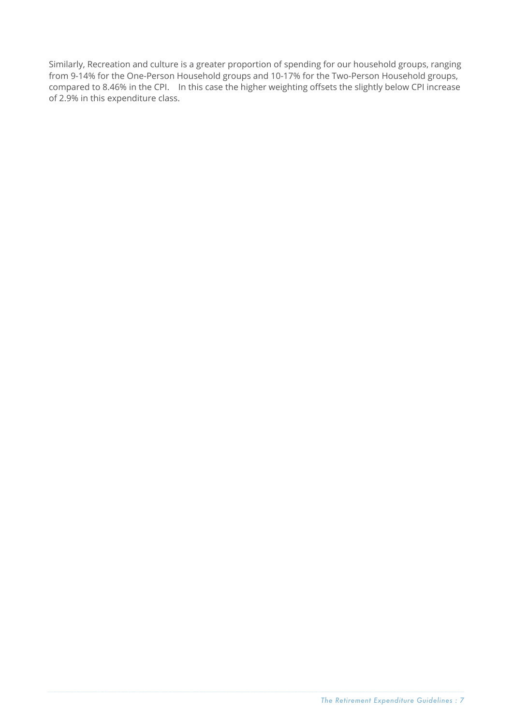Similarly, Recreation and culture is a greater proportion of spending for our household groups, ranging from 9-14% for the One-Person Household groups and 10-17% for the Two-Person Household groups, compared to 8.46% in the CPI. In this case the higher weighting offsets the slightly below CPI increase of 2.9% in this expenditure class.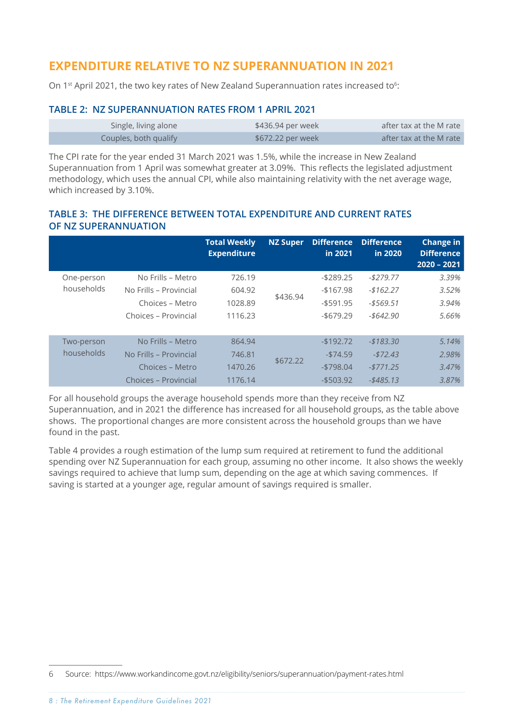# **EXPENDITURE RELATIVE TO NZ SUPERANNUATION IN 2021**

On 1<sup>st</sup> April 2021, the two key rates of New Zealand Superannuation rates increased to<sup>6</sup>:

#### **TABLE 2: NZ SUPERANNUATION RATES FROM 1 APRIL 2021**

| Single, living alone  | \$436.94 per week | after tax at the M rate |
|-----------------------|-------------------|-------------------------|
| Couples, both qualify | \$672.22 per week | after tax at the M rate |

The CPI rate for the year ended 31 March 2021 was 1.5%, while the increase in New Zealand Superannuation from 1 April was somewhat greater at 3.09%. This reflects the legislated adjustment methodology, which uses the annual CPI, while also maintaining relativity with the net average wage, which increased by 3.10%.

#### **TABLE 3: THE DIFFERENCE BETWEEN TOTAL EXPENDITURE AND CURRENT RATES OF NZ SUPERANNUATION**

|            |                        | <b>Total Weekly</b><br><b>Expenditure</b> | <b>NZ Super</b> | <b>Difference</b><br>in 2021 | <b>Difference</b><br>in 2020 | <b>Change in</b><br><b>Difference</b><br>$2020 - 2021$ |
|------------|------------------------|-------------------------------------------|-----------------|------------------------------|------------------------------|--------------------------------------------------------|
| One-person | No Frills - Metro      | 726.19                                    |                 | $-$ \$289.25                 | $-$279.77$                   | 3.39%                                                  |
| households | No Frills - Provincial | 604.92                                    | \$436.94        | $-167.98$                    | $-$162.27$                   | 3.52%                                                  |
|            | Choices - Metro        | 1028.89                                   |                 | $-$ \$591.95                 | $- $569.51$                  | 3.94%                                                  |
|            | Choices - Provincial   | 1116.23                                   |                 | $-$ \$679.29                 | $- $642.90$                  | 5.66%                                                  |
| Two-person | No Frills - Metro      | 864.94                                    |                 | $-$192.72$                   | $-$183.30$                   | 5.14%                                                  |
| households | No Frills - Provincial | 746.81                                    | \$672.22        | $-574.59$                    | $-572.43$                    | 2.98%                                                  |
|            | Choices - Metro        | 1470.26                                   |                 | $-5798.04$                   | $-5771.25$                   | 3.47%                                                  |
|            | Choices – Provincial   | 1176.14                                   |                 | $-$ \$503.92                 | $-$ \$485.13                 | 3.87%                                                  |

For all household groups the average household spends more than they receive from NZ Superannuation, and in 2021 the difference has increased for all household groups, as the table above shows. The proportional changes are more consistent across the household groups than we have found in the past.

[Table 4](#page-8-0) provides a rough estimation of the lump sum required at retirement to fund the additional spending over NZ Superannuation for each group, assuming no other income. It also shows the weekly savings required to achieve that lump sum, depending on the age at which saving commences. If saving is started at a younger age, regular amount of savings required is smaller.

<sup>6</sup> Source: https://www.workandincome.govt.nz/eligibility/seniors/superannuation/payment-rates.html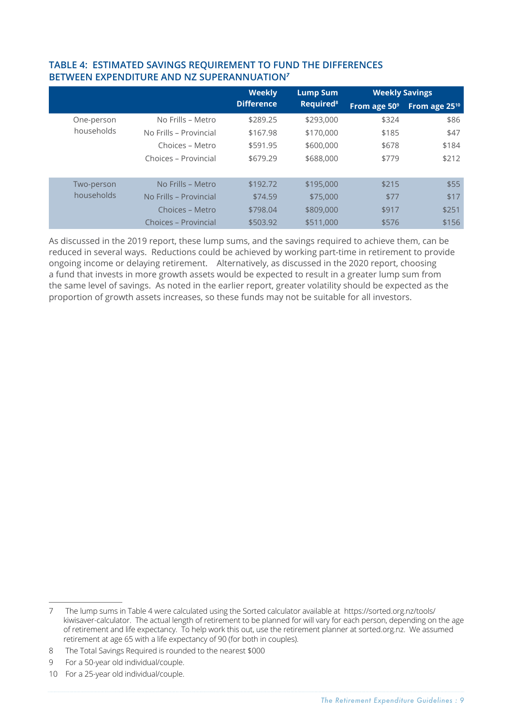|            |                        | <b>Weekly</b>     | <b>Lump Sum</b>             | <b>Weekly Savings</b>    |                           |
|------------|------------------------|-------------------|-----------------------------|--------------------------|---------------------------|
|            |                        | <b>Difference</b> | <b>Required<sup>8</sup></b> | From age 50 <sup>9</sup> | From age 25 <sup>10</sup> |
| One-person | No Frills – Metro      | \$289.25          | \$293,000                   | \$324                    | \$86                      |
| households | No Frills - Provincial | \$167.98          | \$170,000                   | \$185                    | \$47                      |
|            | Choices - Metro        | \$591.95          | \$600,000                   | \$678                    | \$184                     |
|            | Choices - Provincial   | \$679.29          | \$688,000                   | \$779                    | \$212                     |
|            | No Frills - Metro      | \$192.72          | \$195,000                   | \$215                    |                           |
| Two-person |                        |                   |                             |                          | \$55                      |
| households | No Frills - Provincial | \$74.59           | \$75,000                    | \$77                     | \$17                      |
|            | Choices – Metro        | \$798.04          | \$809,000                   | \$917                    | \$251                     |
|            | Choices - Provincial   | \$503.92          | \$511,000                   | \$576                    | \$156                     |

#### <span id="page-8-0"></span>**TABLE 4: ESTIMATED SAVINGS REQUIREMENT TO FUND THE DIFFERENCES BETWEEN EXPENDITURE AND NZ SUPERANNUATION***<sup>7</sup>*

As discussed in the 2019 report, these lump sums, and the savings required to achieve them, can be reduced in several ways. Reductions could be achieved by working part-time in retirement to provide ongoing income or delaying retirement. Alternatively, as discussed in the 2020 report, choosing a fund that invests in more growth assets would be expected to result in a greater lump sum from the same level of savings. As noted in the earlier report, greater volatility should be expected as the proportion of growth assets increases, so these funds may not be suitable for all investors.

<sup>7</sup> The lump sums in [Table](#page-8-0) 4 were calculated using the Sorted calculator available at https://sorted.org.nz/tools/ kiwisaver-calculator. The actual length of retirement to be planned for will vary for each person, depending on the age of retirement and life expectancy. To help work this out, use the retirement planner at sorted.org.nz. We assumed retirement at age 65 with a life expectancy of 90 (for both in couples).

<sup>8</sup> The Total Savings Required is rounded to the nearest \$000

<sup>9</sup>  For a 50-year old individual/couple.

<sup>10</sup> For a 25-year old individual/couple.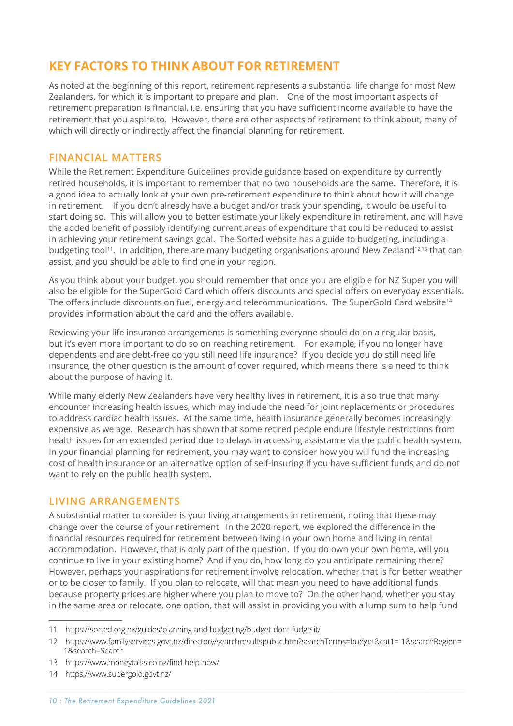# <span id="page-9-0"></span>**KEY FACTORS TO THINK ABOUT FOR RETIREMENT**

As noted at the beginning of this report, retirement represents a substantial life change for most New Zealanders, for which it is important to prepare and plan. One of the most important aspects of retirement preparation is financial, i.e. ensuring that you have sufficient income available to have the retirement that you aspire to. However, there are other aspects of retirement to think about, many of which will directly or indirectly affect the financial planning for retirement.

### **FINANCIAL MATTERS**

While the Retirement Expenditure Guidelines provide guidance based on expenditure by currently retired households, it is important to remember that no two households are the same. Therefore, it is a good idea to actually look at your own pre-retirement expenditure to think about how it will change in retirement. If you don't already have a budget and/or track your spending, it would be useful to start doing so. This will allow you to better estimate your likely expenditure in retirement, and will have the added benefit of possibly identifying current areas of expenditure that could be reduced to assist in achieving your retirement savings goal. The Sorted website has a guide to budgeting, including a budgeting tool<sup>11</sup>. In addition, there are many budgeting organisations around New Zealand<sup>12,13</sup> that can assist, and you should be able to find one in your region.

As you think about your budget, you should remember that once you are eligible for NZ Super you will also be eligible for the SuperGold Card which offers discounts and special offers on everyday essentials. The offers include discounts on fuel, energy and telecommunications. The SuperGold Card website<sup>14</sup> provides information about the card and the offers available.

Reviewing your life insurance arrangements is something everyone should do on a regular basis, but it's even more important to do so on reaching retirement. For example, if you no longer have dependents and are debt-free do you still need life insurance? If you decide you do still need life insurance, the other question is the amount of cover required, which means there is a need to think about the purpose of having it.

While many elderly New Zealanders have very healthy lives in retirement, it is also true that many encounter increasing health issues, which may include the need for joint replacements or procedures to address cardiac health issues. At the same time, health insurance generally becomes increasingly expensive as we age. Research has shown that some retired people endure lifestyle restrictions from health issues for an extended period due to delays in accessing assistance via the public health system. In your financial planning for retirement, you may want to consider how you will fund the increasing cost of health insurance or an alternative option of self-insuring if you have sufficient funds and do not want to rely on the public health system.

#### **LIVING ARRANGEMENTS**

A substantial matter to consider is your living arrangements in retirement, noting that these may change over the course of your retirement. In the 2020 report, we explored the difference in the financial resources required for retirement between living in your own home and living in rental accommodation. However, that is only part of the question. If you do own your own home, will you continue to live in your existing home? And if you do, how long do you anticipate remaining there? However, perhaps your aspirations for retirement involve relocation, whether that is for better weather or to be closer to family. If you plan to relocate, will that mean you need to have additional funds because property prices are higher where you plan to move to? On the other hand, whether you stay in the same area or relocate, one option, that will assist in providing you with a lump sum to help fund

- 13 https://www.moneytalks.co.nz/find-help-now/
- 14 https://www.supergold.govt.nz/

<sup>11</sup> https://sorted.org.nz/guides/planning-and-budgeting/budget-dont-fudge-it/

<sup>12</sup> https://www.familyservices.govt.nz/directory/searchresultspublic.htm?searchTerms=budget&cat1=-1&searchRegion=- 1&search=Search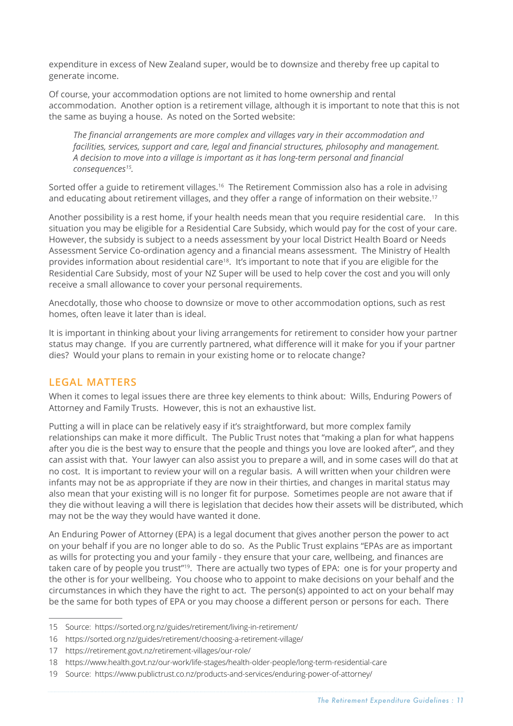<span id="page-10-0"></span>expenditure in excess of New Zealand super, would be to downsize and thereby free up capital to generate income.

Of course, your accommodation options are not limited to home ownership and rental accommodation. Another option is a retirement village, although it is important to note that this is not the same as buying a house. As noted on the Sorted website:

*The financial arrangements are more complex and villages vary in their accommodation and facilities, services, support and care, legal and financial structures, philosophy and management. A decision to move into a village is important as it has long-term personal and financial consequences15.*

Sorted offer a guide to retirement villages.<sup>16</sup> The Retirement Commission also has a role in advising and educating about retirement villages, and they offer a range of information on their website.<sup>17</sup>

Another possibility is a rest home, if your health needs mean that you require residential care. In this situation you may be eligible for a Residential Care Subsidy, which would pay for the cost of your care. However, the subsidy is subject to a needs assessment by your local District Health Board or Needs Assessment Service Co-ordination agency and a financial means assessment. The Ministry of Health provides information about residential care<sup>18</sup>. It's important to note that if you are eligible for the Residential Care Subsidy, most of your NZ Super will be used to help cover the cost and you will only receive a small allowance to cover your personal requirements.

Anecdotally, those who choose to downsize or move to other accommodation options, such as rest homes, often leave it later than is ideal.

It is important in thinking about your living arrangements for retirement to consider how your partner status may change. If you are currently partnered, what difference will it make for you if your partner dies? Would your plans to remain in your existing home or to relocate change?

#### **LEGAL MATTERS**

When it comes to legal issues there are three key elements to think about: Wills, Enduring Powers of Attorney and Family Trusts. However, this is not an exhaustive list.

Putting a will in place can be relatively easy if it's straightforward, but more complex family relationships can make it more difficult. The Public Trust notes that "making a plan for what happens after you die is the best way to ensure that the people and things you love are looked after", and they can assist with that. Your lawyer can also assist you to prepare a will, and in some cases will do that at no cost. It is important to review your will on a regular basis. A will written when your children were infants may not be as appropriate if they are now in their thirties, and changes in marital status may also mean that your existing will is no longer fit for purpose. Sometimes people are not aware that if they die without leaving a will there is legislation that decides how their assets will be distributed, which may not be the way they would have wanted it done.

An Enduring Power of Attorney (EPA) is a legal document that gives another person the power to act on your behalf if you are no longer able to do so. As the Public Trust explains "EPAs are as important as wills for protecting you and your family - they ensure that your care, wellbeing, and finances are taken care of by people you trust"19. There are actually two types of EPA: one is for your property and the other is for your wellbeing. You choose who to appoint to make decisions on your behalf and the circumstances in which they have the right to act. The person(s) appointed to act on your behalf may be the same for both types of EPA or you may choose a different person or persons for each. There

<sup>15</sup> Source: https://sorted.org.nz/guides/retirement/living-in-retirement/

<sup>16</sup> https://sorted.org.nz/guides/retirement/choosing-a-retirement-village/

<sup>17</sup> https://retirement.govt.nz/retirement-villages/our-role/

<sup>18</sup> https://www.health.govt.nz/our-work/life-stages/health-older-people/long-term-residential-care

<sup>19</sup> Source: https://www.publictrust.co.nz/products-and-services/enduring-power-of-attorney/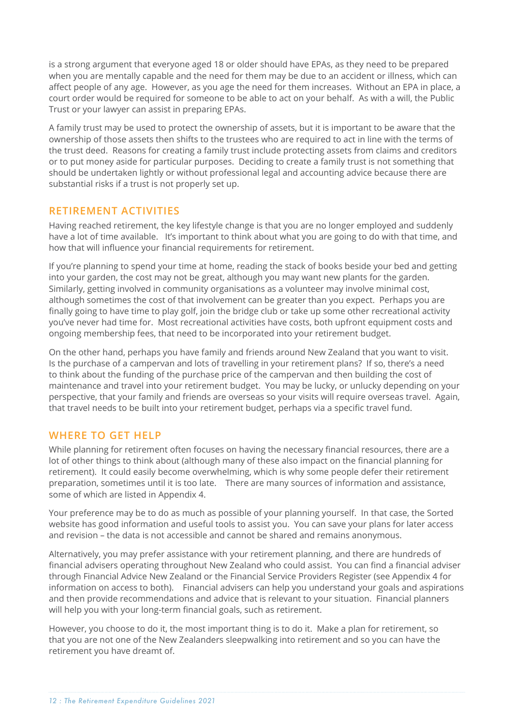<span id="page-11-0"></span>is a strong argument that everyone aged 18 or older should have EPAs, as they need to be prepared when you are mentally capable and the need for them may be due to an accident or illness, which can affect people of any age. However, as you age the need for them increases. Without an EPA in place, a court order would be required for someone to be able to act on your behalf. As with a will, the Public Trust or your lawyer can assist in preparing EPAs.

A family trust may be used to protect the ownership of assets, but it is important to be aware that the ownership of those assets then shifts to the trustees who are required to act in line with the terms of the trust deed. Reasons for creating a family trust include protecting assets from claims and creditors or to put money aside for particular purposes. Deciding to create a family trust is not something that should be undertaken lightly or without professional legal and accounting advice because there are substantial risks if a trust is not properly set up.

### **RETIREMENT ACTIVITIES**

Having reached retirement, the key lifestyle change is that you are no longer employed and suddenly have a lot of time available. It's important to think about what you are going to do with that time, and how that will influence your financial requirements for retirement.

If you're planning to spend your time at home, reading the stack of books beside your bed and getting into your garden, the cost may not be great, although you may want new plants for the garden. Similarly, getting involved in community organisations as a volunteer may involve minimal cost, although sometimes the cost of that involvement can be greater than you expect. Perhaps you are finally going to have time to play golf, join the bridge club or take up some other recreational activity you've never had time for. Most recreational activities have costs, both upfront equipment costs and ongoing membership fees, that need to be incorporated into your retirement budget.

On the other hand, perhaps you have family and friends around New Zealand that you want to visit. Is the purchase of a campervan and lots of travelling in your retirement plans? If so, there's a need to think about the funding of the purchase price of the campervan and then building the cost of maintenance and travel into your retirement budget. You may be lucky, or unlucky depending on your perspective, that your family and friends are overseas so your visits will require overseas travel. Again, that travel needs to be built into your retirement budget, perhaps via a specific travel fund.

### **WHERE TO GET HELP**

While planning for retirement often focuses on having the necessary financial resources, there are a lot of other things to think about (although many of these also impact on the financial planning for retirement). It could easily become overwhelming, which is why some people defer their retirement preparation, sometimes until it is too late. There are many sources of information and assistance, some of which are listed in Appendix 4.

Your preference may be to do as much as possible of your planning yourself. In that case, the Sorted website has good information and useful tools to assist you. You can save your plans for later access and revision – the data is not accessible and cannot be shared and remains anonymous.

Alternatively, you may prefer assistance with your retirement planning, and there are hundreds of financial advisers operating throughout New Zealand who could assist. You can find a financial adviser through Financial Advice New Zealand or the Financial Service Providers Register (see Appendix 4 for information on access to both). Financial advisers can help you understand your goals and aspirations and then provide recommendations and advice that is relevant to your situation. Financial planners will help you with your long-term financial goals, such as retirement.

However, you choose to do it, the most important thing is to do it. Make a plan for retirement, so that you are not one of the New Zealanders sleepwalking into retirement and so you can have the retirement you have dreamt of.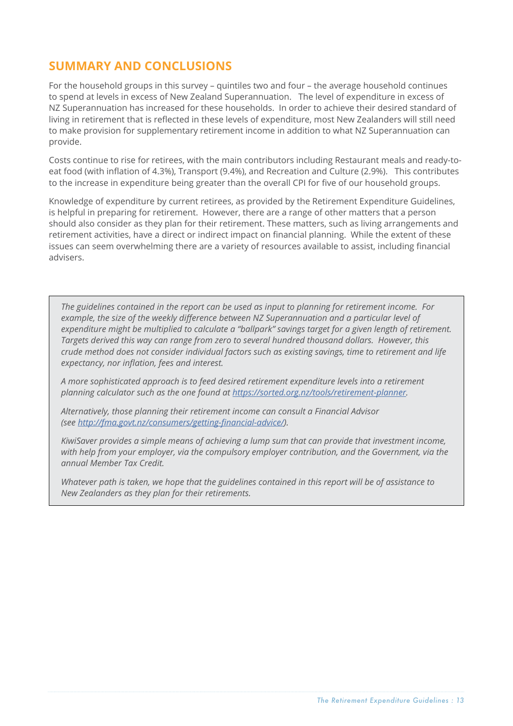# <span id="page-12-0"></span>**SUMMARY AND CONCLUSIONS**

For the household groups in this survey – quintiles two and four – the average household continues to spend at levels in excess of New Zealand Superannuation. The level of expenditure in excess of NZ Superannuation has increased for these households. In order to achieve their desired standard of living in retirement that is reflected in these levels of expenditure, most New Zealanders will still need to make provision for supplementary retirement income in addition to what NZ Superannuation can provide.

Costs continue to rise for retirees, with the main contributors including Restaurant meals and ready-toeat food (with inflation of 4.3%), Transport (9.4%), and Recreation and Culture (2.9%). This contributes to the increase in expenditure being greater than the overall CPI for five of our household groups.

Knowledge of expenditure by current retirees, as provided by the Retirement Expenditure Guidelines, is helpful in preparing for retirement. However, there are a range of other matters that a person should also consider as they plan for their retirement. These matters, such as living arrangements and retirement activities, have a direct or indirect impact on financial planning. While the extent of these issues can seem overwhelming there are a variety of resources available to assist, including financial advisers.

*The guidelines contained in the report can be used as input to planning for retirement income. For example, the size of the weekly difference between NZ Superannuation and a particular level of expenditure might be multiplied to calculate a "ballpark" savings target for a given length of retirement. Targets derived this way can range from zero to several hundred thousand dollars. However, this crude method does not consider individual factors such as existing savings, time to retirement and life expectancy, nor inflation, fees and interest.*

*A more sophisticated approach is to feed desired retirement expenditure levels into a retirement planning calculator such as the one found at <https://sorted.org.nz/tools/retirement-planner>.* 

*Alternatively, those planning their retirement income can consult a Financial Advisor (see<http://fma.govt.nz/consumers/getting-financial-advice/>).*

*KiwiSaver provides a simple means of achieving a lump sum that can provide that investment income, with help from your employer, via the compulsory employer contribution, and the Government, via the annual Member Tax Credit.*

*Whatever path is taken, we hope that the guidelines contained in this report will be of assistance to New Zealanders as they plan for their retirements.*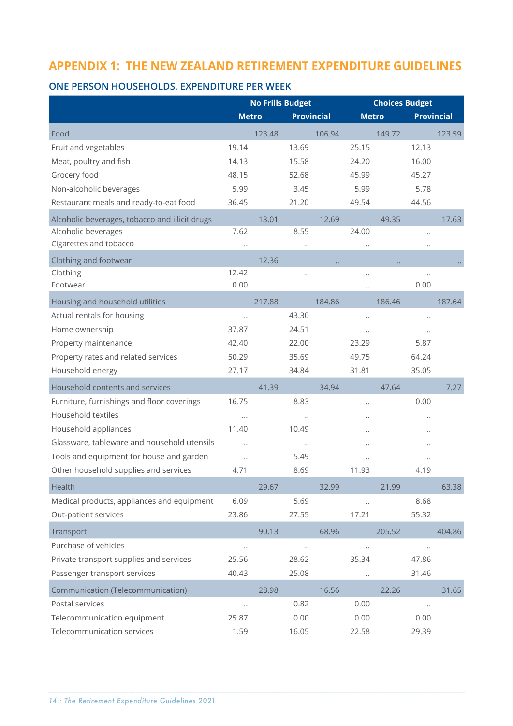# <span id="page-13-0"></span>**APPENDIX 1: THE NEW ZEALAND RETIREMENT EXPENDITURE GUIDELINES**

### **ONE PERSON HOUSEHOLDS, EXPENDITURE PER WEEK**

|                                                | <b>No Frills Budget</b> |        |                      | <b>Choices Budget</b> |                      |        |                      |        |
|------------------------------------------------|-------------------------|--------|----------------------|-----------------------|----------------------|--------|----------------------|--------|
|                                                | <b>Metro</b>            |        | <b>Provincial</b>    |                       | <b>Metro</b>         |        | <b>Provincial</b>    |        |
| Food                                           |                         | 123.48 |                      | 106.94                |                      | 149.72 |                      | 123.59 |
| Fruit and vegetables                           | 19.14                   |        | 13.69                |                       | 25.15                |        | 12.13                |        |
| Meat, poultry and fish                         | 14.13                   |        | 15.58                |                       | 24.20                |        | 16.00                |        |
| Grocery food                                   | 48.15                   |        | 52.68                |                       | 45.99                |        | 45.27                |        |
| Non-alcoholic beverages                        | 5.99                    |        | 3.45                 |                       | 5.99                 |        | 5.78                 |        |
| Restaurant meals and ready-to-eat food         | 36.45                   |        | 21.20                |                       | 49.54                |        | 44.56                |        |
| Alcoholic beverages, tobacco and illicit drugs |                         | 13.01  |                      | 12.69                 |                      | 49.35  |                      | 17.63  |
| Alcoholic beverages                            | 7.62                    |        | 8.55                 |                       | 24.00                |        | $\ddot{\phantom{0}}$ |        |
| Cigarettes and tobacco                         | $\ddot{\phantom{0}}$    |        | $\ddot{\phantom{0}}$ |                       | $\ddotsc$            |        | $\ddotsc$            |        |
| Clothing and footwear                          |                         | 12.36  |                      |                       |                      |        |                      |        |
| Clothing                                       | 12.42                   |        | $\ddot{\phantom{0}}$ |                       | $\ddot{\phantom{0}}$ |        | $\ddot{\phantom{0}}$ |        |
| Footwear                                       | 0.00                    |        | $\ddot{\phantom{0}}$ |                       | $\ddot{\phantom{0}}$ |        | 0.00                 |        |
| Housing and household utilities                |                         | 217.88 |                      | 184.86                |                      | 186.46 |                      | 187.64 |
| Actual rentals for housing                     | $\ddot{\phantom{0}}$    |        | 43.30                |                       | $\ddot{\phantom{0}}$ |        | $\ddot{\phantom{0}}$ |        |
| Home ownership                                 | 37.87                   |        | 24.51                |                       | $\ddotsc$            |        | $\ddot{\phantom{0}}$ |        |
| Property maintenance                           | 42.40                   |        | 22.00                |                       | 23.29                |        | 5.87                 |        |
| Property rates and related services            | 50.29                   |        | 35.69                |                       | 49.75                |        | 64.24                |        |
| Household energy                               | 27.17                   |        | 34.84                |                       | 31.81                |        | 35.05                |        |
| Household contents and services                |                         | 41.39  |                      | 34.94                 |                      | 47.64  |                      | 7.27   |
| Furniture, furnishings and floor coverings     | 16.75                   |        | 8.83                 |                       | $\ddot{\phantom{a}}$ |        | 0.00                 |        |
| Household textiles                             |                         |        | $\ddot{\phantom{0}}$ |                       | $\ddotsc$            |        | $\ddot{\phantom{0}}$ |        |
| Household appliances                           | 11.40                   |        | 10.49                |                       |                      |        |                      |        |
| Glassware, tableware and household utensils    | $\ddot{\phantom{a}}$    |        | $\ddot{\phantom{0}}$ |                       |                      |        |                      |        |
| Tools and equipment for house and garden       | $\ddot{\phantom{a}}$    |        | 5.49                 |                       |                      |        |                      |        |
| Other household supplies and services          | 4.71                    |        | 8.69                 |                       | 11.93                |        | 4.19                 |        |
| Health                                         |                         | 29.67  |                      | 32.99                 |                      | 21.99  |                      | 63.38  |
| Medical products, appliances and equipment     | 6.09                    |        | 5.69                 |                       | $\ddot{\phantom{a}}$ |        | 8.68                 |        |
| Out-patient services                           | 23.86                   |        | 27.55                |                       | 17.21                |        | 55.32                |        |
| Transport                                      |                         | 90.13  |                      | 68.96                 |                      | 205.52 |                      | 404.86 |
| Purchase of vehicles                           | $\ldots$                |        | $\ldots$             |                       | $\ddotsc$            |        | $\ldots$             |        |
| Private transport supplies and services        | 25.56                   |        | 28.62                |                       | 35.34                |        | 47.86                |        |
| Passenger transport services                   | 40.43                   |        | 25.08                |                       | $\ddot{\phantom{a}}$ |        | 31.46                |        |
| Communication (Telecommunication)              |                         | 28.98  |                      | 16.56                 |                      | 22.26  |                      | 31.65  |
| Postal services                                | $\ddot{\phantom{0}}$    |        | 0.82                 |                       | 0.00                 |        | $\ddot{\phantom{0}}$ |        |
| Telecommunication equipment                    | 25.87                   |        | 0.00                 |                       | 0.00                 |        | 0.00                 |        |
| Telecommunication services                     | 1.59                    |        | 16.05                |                       | 22.58                |        | 29.39                |        |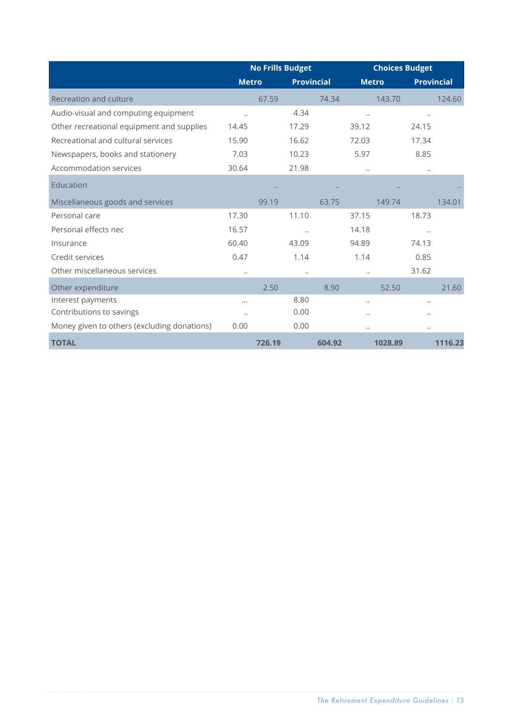|                                             | <b>No Frills Budget</b> |                      |                   |        | <b>Choices Budget</b> |         |           |                   |
|---------------------------------------------|-------------------------|----------------------|-------------------|--------|-----------------------|---------|-----------|-------------------|
|                                             | <b>Metro</b>            |                      | <b>Provincial</b> |        | <b>Metro</b>          |         |           | <b>Provincial</b> |
| Recreation and culture                      |                         | 67.59                |                   | 74.34  |                       | 143.70  |           | 124.60            |
| Audio-visual and computing equipment        | $\ddot{\phantom{a}}$    |                      | 4.34              |        | $\ddotsc$             |         | $\ddotsc$ |                   |
| Other recreational equipment and supplies   | 14.45                   |                      | 17.29             |        | 39.12                 |         | 24.15     |                   |
| Recreational and cultural services          | 15.90                   |                      | 16.62             |        | 72.03                 |         | 17.34     |                   |
| Newspapers, books and stationery            | 7.03                    |                      | 10.23             |        | 5.97                  |         | 8.85      |                   |
| Accommodation services                      | 30.64                   |                      | 21.98             |        | $\ddotsc$             |         | $\ddotsc$ |                   |
| Education                                   |                         | $\ddot{\phantom{a}}$ |                   |        |                       |         |           |                   |
| Miscellaneous goods and services            |                         | 99.19                |                   | 63.75  |                       | 149.74  |           | 134.01            |
| Personal care                               | 17.30                   |                      | 11.10             |        | 37.15                 |         | 18.73     |                   |
| Personal effects nec                        | 16.57                   |                      | $\ddotsc$         |        | 14.18                 |         | $\ddotsc$ |                   |
| Insurance                                   | 60.40                   |                      | 43.09             |        | 94.89                 |         | 74.13     |                   |
| Credit services                             | 0.47                    |                      | 1.14              |        | 1.14                  |         | 0.85      |                   |
| Other miscellaneous services                | $\ddotsc$               |                      |                   |        | $\ddotsc$             |         | 31.62     |                   |
| Other expenditure                           |                         | 2.50                 |                   | 8.90   |                       | 52.50   |           | 21.60             |
| Interest payments                           |                         |                      | 8.80              |        | $\ddot{\phantom{0}}$  |         | $\ddotsc$ |                   |
| Contributions to savings                    | $\ddot{\phantom{0}}$    |                      | 0.00              |        |                       |         |           |                   |
| Money given to others (excluding donations) | 0.00                    |                      | 0.00              |        |                       |         | $\ddotsc$ |                   |
| <b>TOTAL</b>                                |                         | 726.19               |                   | 604.92 |                       | 1028.89 |           | 1116.23           |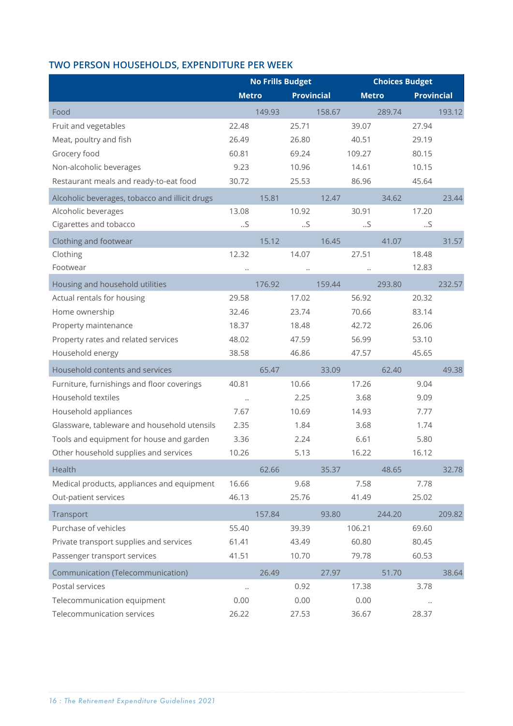# **TWO PERSON HOUSEHOLDS, EXPENDITURE PER WEEK**

|                                                |                      | <b>No Frills Budget</b> |                   |        |              | <b>Choices Budget</b> |                   |        |
|------------------------------------------------|----------------------|-------------------------|-------------------|--------|--------------|-----------------------|-------------------|--------|
|                                                | <b>Metro</b>         |                         | <b>Provincial</b> |        | <b>Metro</b> |                       | <b>Provincial</b> |        |
| Food                                           |                      | 149.93                  |                   | 158.67 |              | 289.74                |                   | 193.12 |
| Fruit and vegetables                           | 22.48                |                         | 25.71             |        | 39.07        |                       | 27.94             |        |
| Meat, poultry and fish                         | 26.49                |                         | 26.80             |        | 40.51        |                       | 29.19             |        |
| Grocery food                                   | 60.81                |                         | 69.24             |        | 109.27       |                       | 80.15             |        |
| Non-alcoholic beverages                        | 9.23                 |                         | 10.96             |        | 14.61        |                       | 10.15             |        |
| Restaurant meals and ready-to-eat food         | 30.72                |                         | 25.53             |        | 86.96        |                       | 45.64             |        |
| Alcoholic beverages, tobacco and illicit drugs |                      | 15.81                   |                   | 12.47  |              | 34.62                 |                   | 23.44  |
| Alcoholic beverages                            | 13.08                |                         | 10.92             |        | 30.91        |                       | 17.20             |        |
| Cigarettes and tobacco                         | .5                   |                         | $\mathcal{S}$     |        | .5           |                       | $\mathcal{S}$     |        |
| Clothing and footwear                          |                      | 15.12                   |                   | 16.45  |              | 41.07                 |                   | 31.57  |
| Clothing                                       | 12.32                |                         | 14.07             |        | 27.51        |                       | 18.48             |        |
| Footwear                                       | $\ddot{\phantom{a}}$ |                         |                   |        |              |                       | 12.83             |        |
| Housing and household utilities                |                      | 176.92                  |                   | 159.44 |              | 293.80                |                   | 232.57 |
| Actual rentals for housing                     | 29.58                |                         | 17.02             |        | 56.92        |                       | 20.32             |        |
| Home ownership                                 | 32.46                |                         | 23.74             |        | 70.66        |                       | 83.14             |        |
| Property maintenance                           | 18.37                |                         | 18.48             |        | 42.72        |                       | 26.06             |        |
| Property rates and related services            | 48.02                |                         | 47.59             |        | 56.99        |                       | 53.10             |        |
| Household energy                               | 38.58                |                         | 46.86             |        | 47.57        |                       | 45.65             |        |
| Household contents and services                |                      | 65.47                   |                   | 33.09  |              | 62.40                 |                   | 49.38  |
| Furniture, furnishings and floor coverings     | 40.81                |                         | 10.66             |        | 17.26        |                       | 9.04              |        |
| Household textiles                             | $\ddotsc$            |                         | 2.25              |        | 3.68         |                       | 9.09              |        |
| Household appliances                           | 7.67                 |                         | 10.69             |        | 14.93        |                       | 7.77              |        |
| Glassware, tableware and household utensils    | 2.35                 |                         | 1.84              |        | 3.68         |                       | 1.74              |        |
| Tools and equipment for house and garden       | 3.36                 |                         | 2.24              |        | 6.61         |                       | 5.80              |        |
| Other household supplies and services          | 10.26                |                         | 5.13              |        | 16.22        |                       | 16.12             |        |
| Health                                         |                      | 62.66                   |                   | 35.37  |              | 48.65                 |                   | 32.78  |
| Medical products, appliances and equipment     | 16.66                |                         | 9.68              |        | 7.58         |                       | 7.78              |        |
| Out-patient services                           | 46.13                |                         | 25.76             |        | 41.49        |                       | 25.02             |        |
| Transport                                      |                      | 157.84                  |                   | 93.80  |              | 244.20                |                   | 209.82 |
| Purchase of vehicles                           | 55.40                |                         | 39.39             |        | 106.21       |                       | 69.60             |        |
| Private transport supplies and services        | 61.41                |                         | 43.49             |        | 60.80        |                       | 80.45             |        |
| Passenger transport services                   | 41.51                |                         | 10.70             |        | 79.78        |                       | 60.53             |        |
| Communication (Telecommunication)              |                      | 26.49                   |                   | 27.97  |              | 51.70                 |                   | 38.64  |
| Postal services                                | $\ddot{\phantom{0}}$ |                         | 0.92              |        | 17.38        |                       | 3.78              |        |
| Telecommunication equipment                    | 0.00                 |                         | 0.00              |        | 0.00         |                       |                   |        |
| Telecommunication services                     | 26.22                |                         | 27.53             |        | 36.67        |                       | 28.37             |        |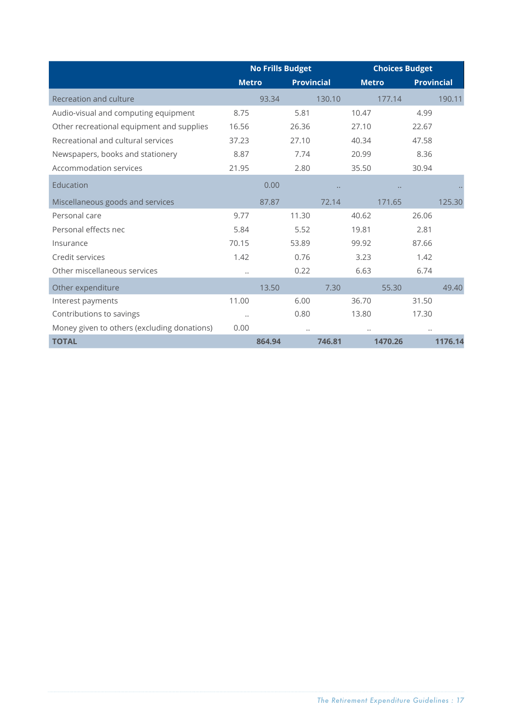|                                             | <b>No Frills Budget</b> |        |                      |        | <b>Choices Budget</b> |                     |           |                   |
|---------------------------------------------|-------------------------|--------|----------------------|--------|-----------------------|---------------------|-----------|-------------------|
|                                             | <b>Metro</b>            |        | <b>Provincial</b>    |        | <b>Metro</b>          |                     |           | <b>Provincial</b> |
| Recreation and culture                      |                         | 93.34  |                      | 130.10 |                       | 177.14              |           | 190.11            |
| Audio-visual and computing equipment        | 8.75                    |        | 5.81                 |        | 10.47                 |                     | 4.99      |                   |
| Other recreational equipment and supplies   | 16.56                   |        | 26.36                |        | 27.10                 |                     | 22.67     |                   |
| Recreational and cultural services          | 37.23                   |        | 27.10                |        | 40.34                 |                     | 47.58     |                   |
| Newspapers, books and stationery            | 8.87                    |        | 7.74                 |        | 20.99                 |                     | 8.36      |                   |
| Accommodation services                      | 21.95                   |        | 2.80                 |        | 35.50                 |                     | 30.94     |                   |
| Education                                   |                         | 0.00   |                      |        |                       | $\bullet$ $\bullet$ |           |                   |
| Miscellaneous goods and services            |                         | 87.87  |                      | 72.14  |                       | 171.65              |           | 125.30            |
| Personal care                               | 9.77                    |        | 11.30                |        | 40.62                 |                     | 26.06     |                   |
| Personal effects nec                        | 5.84                    |        | 5.52                 |        | 19.81                 |                     | 2.81      |                   |
| Insurance                                   | 70.15                   |        | 53.89                |        | 99.92                 |                     | 87.66     |                   |
| Credit services                             | 1.42                    |        | 0.76                 |        | 3.23                  |                     | 1.42      |                   |
| Other miscellaneous services                | $\ddotsc$               |        | 0.22                 |        | 6.63                  |                     | 6.74      |                   |
| Other expenditure                           |                         | 13.50  |                      | 7.30   |                       | 55.30               |           | 49.40             |
| Interest payments                           | 11.00                   |        | 6.00                 |        | 36.70                 |                     | 31.50     |                   |
| Contributions to savings                    | $\ddotsc$               |        | 0.80                 |        | 13.80                 |                     | 17.30     |                   |
| Money given to others (excluding donations) | 0.00                    |        | $\ddot{\phantom{0}}$ |        | $\ddotsc$             |                     | $\ddotsc$ |                   |
| <b>TOTAL</b>                                |                         | 864.94 |                      | 746.81 |                       | 1470.26             |           | 1176.14           |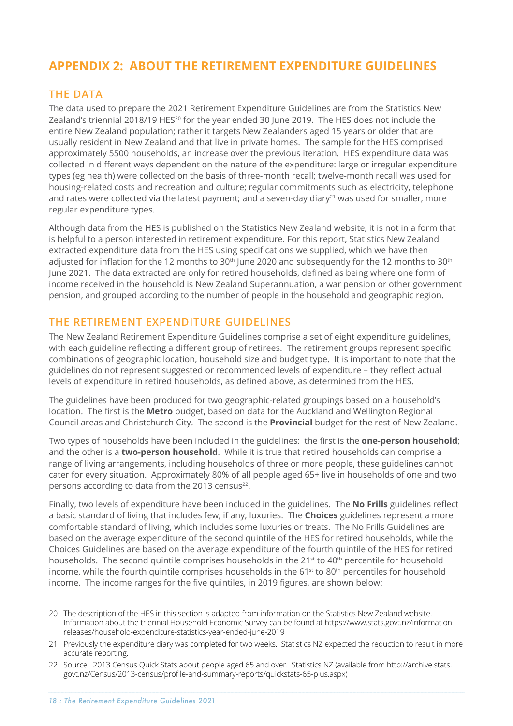# <span id="page-17-0"></span>**APPENDIX 2: ABOUT THE RETIREMENT EXPENDITURE GUIDELINES**

# **THE DATA**

The data used to prepare the 2021 Retirement Expenditure Guidelines are from the Statistics New Zealand's triennial 2018/19 HES20 for the year ended 30 June 2019. The HES does not include the entire New Zealand population; rather it targets New Zealanders aged 15 years or older that are usually resident in New Zealand and that live in private homes. The sample for the HES comprised approximately 5500 households, an increase over the previous iteration. HES expenditure data was collected in different ways dependent on the nature of the expenditure: large or irregular expenditure types (eg health) were collected on the basis of three-month recall; twelve-month recall was used for housing-related costs and recreation and culture; regular commitments such as electricity, telephone and rates were collected via the latest payment; and a seven-day diary<sup>21</sup> was used for smaller, more regular expenditure types.

Although data from the HES is published on the Statistics New Zealand website, it is not in a form that is helpful to a person interested in retirement expenditure. For this report, Statistics New Zealand extracted expenditure data from the HES using specifications we supplied, which we have then adjusted for inflation for the 12 months to 30<sup>th</sup> June 2020 and subsequently for the 12 months to 30<sup>th</sup> June 2021. The data extracted are only for retired households, defined as being where one form of income received in the household is New Zealand Superannuation, a war pension or other government pension, and grouped according to the number of people in the household and geographic region.

### **THE RETIREMENT EXPENDITURE GUIDELINES**

The New Zealand Retirement Expenditure Guidelines comprise a set of eight expenditure guidelines, with each guideline reflecting a different group of retirees. The retirement groups represent specific combinations of geographic location, household size and budget type. It is important to note that the guidelines do not represent suggested or recommended levels of expenditure – they reflect actual levels of expenditure in retired households, as defined above, as determined from the HES.

The guidelines have been produced for two geographic-related groupings based on a household's location. The first is the **Metro** budget, based on data for the Auckland and Wellington Regional Council areas and Christchurch City. The second is the **Provincial** budget for the rest of New Zealand.

Two types of households have been included in the guidelines: the first is the **one-person household**; and the other is a **two-person household**. While it is true that retired households can comprise a range of living arrangements, including households of three or more people, these guidelines cannot cater for every situation. Approximately 80% of all people aged 65+ live in households of one and two persons according to data from the 2013 census<sup>22</sup>.

Finally, two levels of expenditure have been included in the guidelines. The **No Frills** guidelines reflect a basic standard of living that includes few, if any, luxuries. The **Choices** guidelines represent a more comfortable standard of living, which includes some luxuries or treats. The No Frills Guidelines are based on the average expenditure of the second quintile of the HES for retired households, while the Choices Guidelines are based on the average expenditure of the fourth quintile of the HES for retired households. The second quintile comprises households in the 21<sup>st</sup> to 40<sup>th</sup> percentile for household income, while the fourth quintile comprises households in the  $61<sup>st</sup>$  to  $80<sup>th</sup>$  percentiles for household income. The income ranges for the five quintiles, in 2019 figures, are shown below:

<sup>20</sup> The description of the HES in this section is adapted from information on the Statistics New Zealand website. Information about the triennial Household Economic Survey can be found at https://www.stats.govt.nz/informationreleases/household-expenditure-statistics-year-ended-june-2019

<sup>21</sup> Previously the expenditure diary was completed for two weeks. Statistics NZ expected the reduction to result in more accurate reporting.

<sup>22</sup> Source: 2013 Census Quick Stats about people aged 65 and over. Statistics NZ (available from http://archive.stats. govt.nz/Census/2013-census/profile-and-summary-reports/quickstats-65-plus.aspx)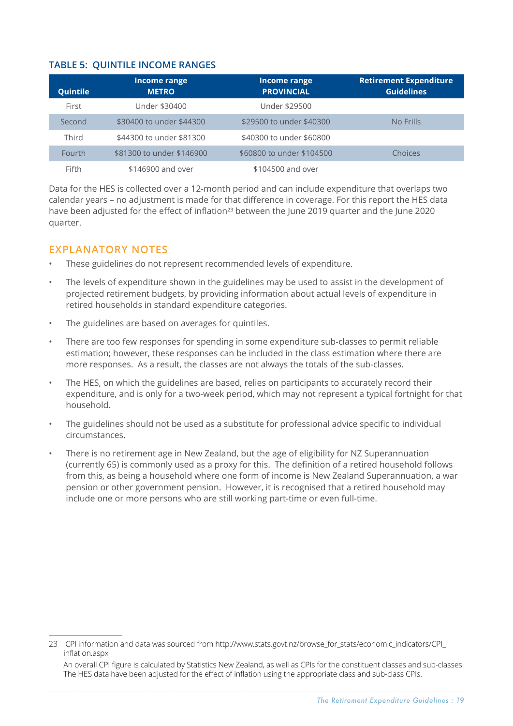#### <span id="page-18-0"></span>**TABLE 5: QUINTILE INCOME RANGES**

| Quintile | Income range<br><b>METRO</b> | Income range<br><b>PROVINCIAL</b> | <b>Retirement Expenditure</b><br><b>Guidelines</b> |
|----------|------------------------------|-----------------------------------|----------------------------------------------------|
| First    | Under \$30400                | Under \$29500                     |                                                    |
| Second   | \$30400 to under \$44300     | \$29500 to under \$40300          | No Frills                                          |
| Third    | \$44300 to under \$81300     | \$40300 to under \$60800          |                                                    |
| Fourth   | \$81300 to under \$146900    | \$60800 to under \$104500         | Choices                                            |
| Fifth    | \$146900 and over            | \$104500 and over                 |                                                    |

Data for the HES is collected over a 12-month period and can include expenditure that overlaps two calendar years – no adjustment is made for that difference in coverage. For this report the HES data have been adjusted for the effect of inflation<sup>23</sup> between the June 2019 quarter and the June 2020 quarter.

# **EXPLANATORY NOTES**

- These guidelines do not represent recommended levels of expenditure.
- The levels of expenditure shown in the guidelines may be used to assist in the development of projected retirement budgets, by providing information about actual levels of expenditure in retired households in standard expenditure categories.
- The guidelines are based on averages for quintiles.
- There are too few responses for spending in some expenditure sub-classes to permit reliable estimation; however, these responses can be included in the class estimation where there are more responses. As a result, the classes are not always the totals of the sub-classes.
- The HES, on which the guidelines are based, relies on participants to accurately record their expenditure, and is only for a two-week period, which may not represent a typical fortnight for that household.
- The guidelines should not be used as a substitute for professional advice specific to individual circumstances.
- There is no retirement age in New Zealand, but the age of eligibility for NZ Superannuation (currently 65) is commonly used as a proxy for this. The definition of a retired household follows from this, as being a household where one form of income is New Zealand Superannuation, a war pension or other government pension. However, it is recognised that a retired household may include one or more persons who are still working part-time or even full-time.

<sup>23</sup> CPI information and data was sourced from http://www.stats.govt.nz/browse\_for\_stats/economic\_indicators/CPI inflation.aspx

An overall CPI figure is calculated by Statistics New Zealand, as well as CPIs for the constituent classes and sub-classes. The HES data have been adjusted for the effect of inflation using the appropriate class and sub-class CPIs.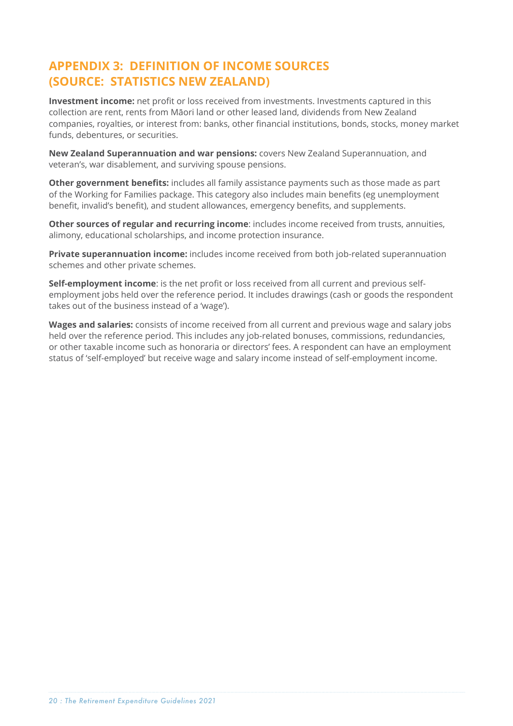# <span id="page-19-0"></span>**APPENDIX 3: DEFINITION OF INCOME SOURCES (SOURCE: STATISTICS NEW ZEALAND)**

**Investment income:** net profit or loss received from investments. Investments captured in this collection are rent, rents from Māori land or other leased land, dividends from New Zealand companies, royalties, or interest from: banks, other financial institutions, bonds, stocks, money market funds, debentures, or securities.

**New Zealand Superannuation and war pensions:** covers New Zealand Superannuation, and veteran's, war disablement, and surviving spouse pensions.

**Other government benefits:** includes all family assistance payments such as those made as part of the Working for Families package. This category also includes main benefits (eg unemployment benefit, invalid's benefit), and student allowances, emergency benefits, and supplements.

**Other sources of regular and recurring income**: includes income received from trusts, annuities, alimony, educational scholarships, and income protection insurance.

**Private superannuation income:** includes income received from both job-related superannuation schemes and other private schemes.

**Self-employment income**: is the net profit or loss received from all current and previous selfemployment jobs held over the reference period. It includes drawings (cash or goods the respondent takes out of the business instead of a 'wage').

**Wages and salaries:** consists of income received from all current and previous wage and salary jobs held over the reference period. This includes any job-related bonuses, commissions, redundancies, or other taxable income such as honoraria or directors' fees. A respondent can have an employment status of 'self-employed' but receive wage and salary income instead of self-employment income.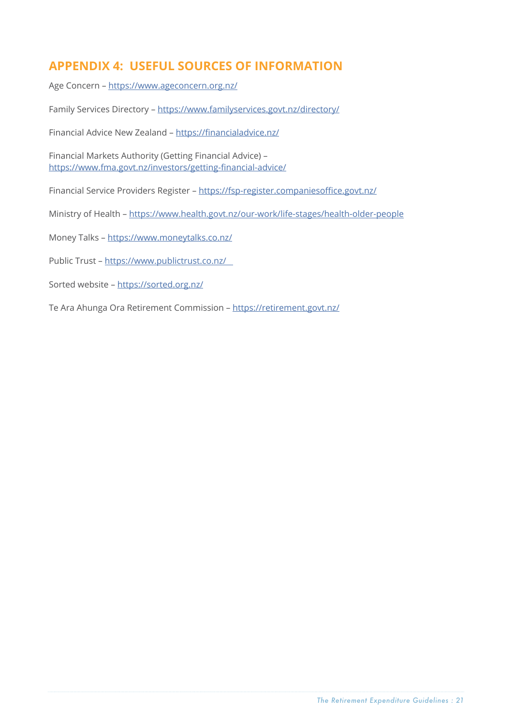# <span id="page-20-0"></span>**APPENDIX 4: USEFUL SOURCES OF INFORMATION**

Age Concern – <https://www.ageconcern.org.nz/>

Family Services Directory –<https://www.familyservices.govt.nz/directory/>

Financial Advice New Zealand –<https://financialadvice.nz/>

Financial Markets Authority (Getting Financial Advice) – <https://www.fma.govt.nz/investors/getting-financial-advice/>

Financial Service Providers Register – <https://fsp-register.companiesoffice.govt.nz/>

Ministry of Health – <https://www.health.govt.nz/our-work/life-stages/health-older-people>

Money Talks – <https://www.moneytalks.co.nz/>

Public Trust – [https://www.publictrust.co.nz/](https://www.publictrust.co.nz/   ) 

Sorted website –<https://sorted.org.nz/>

Te Ara Ahunga Ora Retirement Commission –<https://retirement.govt.nz/>